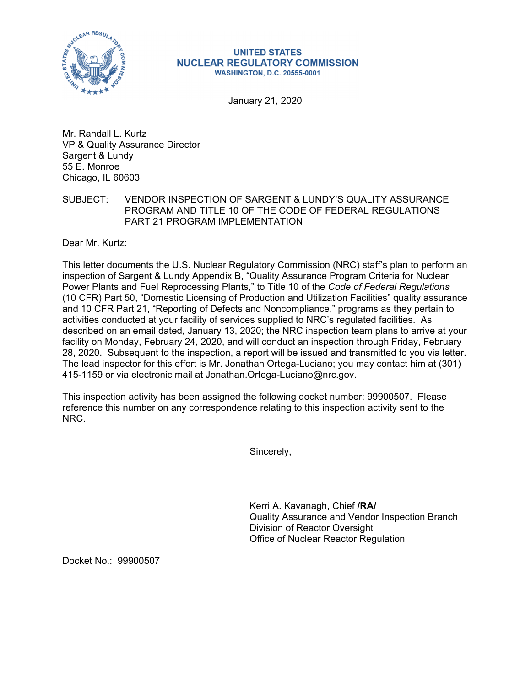

## **UNITED STATES NUCLEAR REGULATORY COMMISSION WASHINGTON, D.C. 20555-0001**

January 21, 2020

Mr. Randall L. Kurtz VP & Quality Assurance Director Sargent & Lundy 55 E. Monroe Chicago, IL 60603

## SUBJECT: VENDOR INSPECTION OF SARGENT & LUNDY'S QUALITY ASSURANCE PROGRAM AND TITLE 10 OF THE CODE OF FEDERAL REGULATIONS PART 21 PROGRAM IMPLEMENTATION

Dear Mr. Kurtz:

This letter documents the U.S. Nuclear Regulatory Commission (NRC) staff's plan to perform an inspection of Sargent & Lundy Appendix B, "Quality Assurance Program Criteria for Nuclear Power Plants and Fuel Reprocessing Plants," to Title 10 of the *Code of Federal Regulations*  (10 CFR) Part 50, "Domestic Licensing of Production and Utilization Facilities" quality assurance and 10 CFR Part 21, "Reporting of Defects and Noncompliance," programs as they pertain to activities conducted at your facility of services supplied to NRC's regulated facilities. As described on an email dated, January 13, 2020; the NRC inspection team plans to arrive at your facility on Monday, February 24, 2020, and will conduct an inspection through Friday, February 28, 2020. Subsequent to the inspection, a report will be issued and transmitted to you via letter. The lead inspector for this effort is Mr. Jonathan Ortega-Luciano; you may contact him at (301) 415-1159 or via electronic mail at Jonathan.Ortega-Luciano@nrc.gov.

This inspection activity has been assigned the following docket number: 99900507. Please reference this number on any correspondence relating to this inspection activity sent to the NRC.

Sincerely,

Kerri A. Kavanagh, Chief **/RA/**  Quality Assurance and Vendor Inspection Branch Division of Reactor Oversight Office of Nuclear Reactor Regulation

Docket No.: 99900507